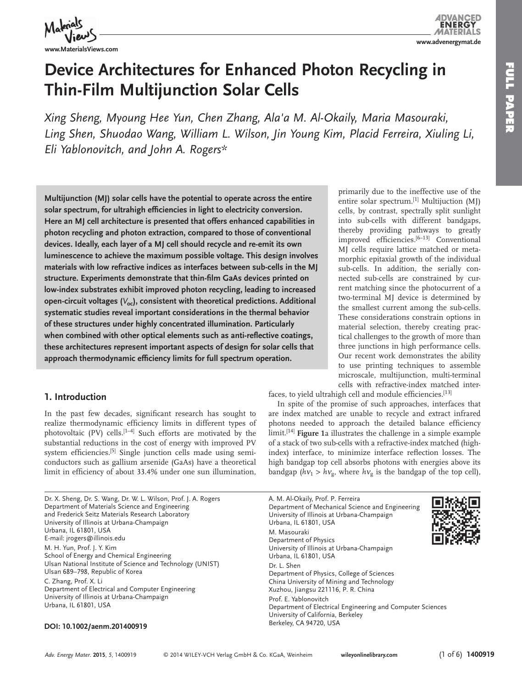

**FULL PAPER** 

**HOLL ARASH** 

# **Device Architectures for Enhanced Photon Recycling in Thin-Film Multijunction Solar Cells**

*Xing Sheng, Myoung Hee Yun, Chen Zhang, Ala'a M. Al-Okaily, Maria Masouraki,* Ling Shen, Shuodao Wang, William L. Wilson, Jin Young Kim, Placid Ferreira, Xiuling Li,  *Eli Yablonovitch , and John A. Rogers\** 

 **Multijunction (MJ) solar cells have the potential to operate across the entire**  solar spectrum, for ultrahigh efficiencies in light to electricity conversion. **Here an MJ cell architecture is presented that offers enhanced capabilities in photon recycling and photon extraction, compared to those of conventional devices. Ideally, each layer of a MJ cell should recycle and re-emit its own luminescence to achieve the maximum possible voltage. This design involves materials with low refractive indices as interfaces between sub-cells in the MJ**  structure. Experiments demonstrate that thin-film GaAs devices printed on **low-index substrates exhibit improved photon recycling, leading to increased**  open-circuit voltages ( $V_{oc}$ ), consistent with theoretical predictions. Additional **systematic studies reveal important considerations in the thermal behavior of these structures under highly concentrated illumination. Particularly**  when combined with other optical elements such as anti-reflective coatings, **these architectures represent important aspects of design for solar cells that**  approach thermodynamic efficiency limits for full spectrum operation.

## **1. Introduction**

In the past few decades, significant research has sought to realize thermodynamic efficiency limits in different types of photovoltaic (PV) cells.  $[1-4]$  Such efforts are motivated by the substantial reductions in the cost of energy with improved PV system efficiencies.<sup>[5]</sup> Single junction cells made using semiconductors such as gallium arsenide (GaAs) have a theoretical limit in efficiency of about 33.4% under one sun illumination,

 Dr. X. Sheng, Dr. S. Wang, Dr. W. L. Wilson, Prof. J. A. Rogers Department of Materials Science and Engineering and Frederick Seitz Materials Research Laboratory University of Illinois at Urbana-Champaign Urbana, IL 61801, USA E-mail: jrogers@illinois.edu M. H. Yun, Prof. J. Y. Kim School of Energy and Chemical Engineering Ulsan National Institute of Science and Technology (UNIST) Ulsan 689-798, Republic of Korea C. Zhang, Prof. X. Li Department of Electrical and Computer Engineering University of Illinois at Urbana-Champaign Urbana, IL 61801, USA

### **DOI: 10.1002/aenm.201400919**

primarily due to the ineffective use of the entire solar spectrum.<sup>[1]</sup> Multijuction (MJ) cells, by contrast, spectrally split sunlight into sub-cells with different bandgaps, thereby providing pathways to greatly improved efficiencies.  $[6-13]$  Conventional MJ cells require lattice matched or metamorphic epitaxial growth of the individual sub-cells. In addition, the serially connected sub-cells are constrained by current matching since the photocurrent of a two-terminal MJ device is determined by the smallest current among the sub-cells. These considerations constrain options in material selection, thereby creating practical challenges to the growth of more than three junctions in high performance cells. Our recent work demonstrates the ability to use printing techniques to assemble microscale, multijunction, multi-terminal cells with refractive-index matched inter-

faces, to yield ultrahigh cell and module efficiencies.<sup>[13]</sup>

 In spite of the promise of such approaches, interfaces that are index matched are unable to recycle and extract infrared photons needed to approach the detailed balance efficiency limit.<sup>[14]</sup> **Figure** 1a illustrates the challenge in a simple example of a stack of two sub-cells with a refractive-index matched (highindex) interface, to minimize interface reflection losses. The high bandgap top cell absorbs photons with energies above its bandgap ( $h\nu_1 > h\nu_\varphi$ , where  $h\nu_\varphi$  is the bandgap of the top cell),

 A. M. Al-Okaily, Prof. P. Ferreira Department of Mechanical Science and Engineering University of Illinois at Urbana-Champaign Urbana, IL 61801, USA M. Masouraki Department of Physics University of Illinois at Urbana-Champaign Urbana, IL 61801, USA Dr. L. Shen Department of Physics, College of Sciences China University of Mining and Technology Xuzhou, Jiangsu 221116, P. R. China Prof. E. Yablonovitch Department of Electrical Engineering and Computer Sciences University of California, Berkeley



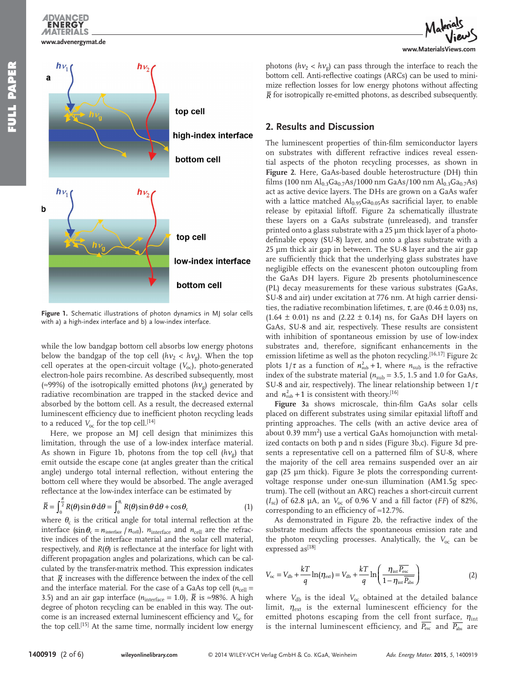**www.advenergymat.de**

**ENERG MATERIALS** 



**Figure 1.** Schematic illustrations of photon dynamics in MJ solar cells with a) a high-index interface and b) a low-index interface.

while the low bandgap bottom cell absorbs low energy photons below the bandgap of the top cell  $(hv_2 < hv_2)$ . When the top cell operates at the open-circuit voltage (V<sub>oc</sub>), photo-generated electron-hole pairs recombine. As described subsequently, most ( $\approx$ 99%) of the isotropically emitted photons ( $h$  $v<sub>o</sub>$ ) generated by radiative recombination are trapped in the stacked device and absorbed by the bottom cell. As a result, the decreased external luminescent efficiency due to inefficient photon recycling leads to a reduced  $V_{\text{oc}}$  for the top cell. [14]

 Here, we propose an MJ cell design that minimizes this limitation, through the use of a low-index interface material. As shown in Figure 1b, photons from the top cell  $(hv_g)$  that emit outside the escape cone (at angles greater than the critical angle) undergo total internal reflection, without entering the bottom cell where they would be absorbed. The angle averaged reflectance at the low-index interface can be estimated by

$$
\overline{R} = \int_0^{\frac{\pi}{2}} R(\theta) \sin \theta \, d\theta = \int_0^{\theta_c} R(\theta) \sin \theta \, d\theta + \cos \theta_c \tag{1}
$$

where  $\theta_c$  is the critical angle for total internal reflection at the interface ( $\sin \theta_c = n_{\text{interface}} / n_{\text{cell}}$ ),  $n_{\text{interface}}$  and  $n_{\text{cell}}$  are the refractive indices of the interface material and the solar cell material, respectively, and  $R(\theta)$  is reflectance at the interface for light with different propagation angles and polarizations, which can be calculated by the transfer-matrix method. This expression indicates that  $\bar{R}$  increases with the difference between the index of the cell and the interface material. For the case of a GaAs top cell  $(n_{cell} =$ 3.5) and an air gap interface ( $n_{\text{interface}} = 1.0$ ),  $\overline{R}$  is ≈98%. A high degree of photon recycling can be enabled in this way. The outcome is an increased external luminescent efficiency and  $V_{\text{oc}}$  for the top cell.<sup>[15]</sup> At the same time, normally incident low energy

www.MaterialsView

photons  $(hv_2 < hv_0)$  can pass through the interface to reach the bottom cell. Anti-reflective coatings (ARCs) can be used to minimize reflection losses for low energy photons without affecting  $\overline{R}$  for isotropically re-emitted photons, as described subsequently.

## **2. Results and Discussion**

The luminescent properties of thin-film semiconductor layers on substrates with different refractive indices reveal essential aspects of the photon recycling processes, as shown in **Figure 2** . Here, GaAs-based double heterostructure (DH) thin films (100 nm  $Al_{0.3}Ga_{0.7}As/1000$  nm  $GaAs/100$  nm  $Al_{0.3}Ga_{0.7}As$ ) act as active device layers. The DHs are grown on a GaAs wafer with a lattice matched  $\text{Al}_{0.95}\text{Ga}_{0.05}\text{As}$  sacrificial layer, to enable release by epitaxial liftoff. Figure 2a schematically illustrate these layers on a GaAs substrate (unreleased), and transfer printed onto a glass substrate with a 25 µm thick layer of a photodefinable epoxy (SU-8) layer, and onto a glass substrate with a 25 µm thick air gap in between. The SU-8 layer and the air gap are sufficiently thick that the underlying glass substrates have negligible effects on the evanescent photon outcoupling from the GaAs DH layers. Figure 2b presents photoluminescence (PL) decay measurements for these various substrates (GaAs, SU-8 and air) under excitation at 776 nm. At high carrier densities, the radiative recombination lifetimes,  $\tau$ , are (0.46 ± 0.03) ns,  $(1.64 \pm 0.01)$  ns and  $(2.22 \pm 0.14)$  ns, for GaAs DH layers on GaAs, SU-8 and air, respectively. These results are consistent with inhibition of spontaneous emission by use of low-index substrates and, therefore, significant enhancements in the emission lifetime as well as the photon recycling.  $[16, 17]$  Figure 2c plots  $1/\tau$  as a function of  $n_{sub}^2 + 1$ , where  $n_{sub}$  is the refractive index of the substrate material ( $n_{sub}$  = 3.5, 1.5 and 1.0 for GaAs, SU-8 and air, respectively). The linear relationship between  $1/\tau$ and  $n_{sub}^2 + 1$  is consistent with theory.<sup>[16]</sup>

Figure 3a shows microscale, thin-film GaAs solar cells placed on different substrates using similar epitaxial liftoff and printing approaches. The cells (with an active device area of about  $0.39 \text{ mm}^2$ ) use a vertical GaAs homojunction with metalized contacts on both p and n sides (Figure 3b,c). Figure 3d presents a representative cell on a patterned film of SU-8, where the majority of the cell area remains suspended over an air gap (25 µm thick). Figure 3e plots the corresponding currentvoltage response under one-sun illumination (AM1.5g spectrum). The cell (without an ARC) reaches a short-circuit current  $(I_{\rm sc})$  of 62.8 µA, an  $V_{\rm oc}$  of 0.96 V and a fill factor (*FF*) of 82%, corresponding to an efficiency of  $\approx$ 12.7%.

As demonstrated in Figure 2b, the refractive index of the substrate medium affects the spontaneous emission rate and the photon recycling processes. Analytically, the V<sub>oc</sub> can be expressed as<sup>[18]</sup>

$$
V_{\rm oc} = V_{\rm db} + \frac{kT}{q} \ln(\eta_{\rm ext}) = V_{\rm db} + \frac{kT}{q} \ln\left(\frac{\eta_{\rm int} \overline{P_{\rm esc}}}{1 - \eta_{\rm int} \overline{P_{\rm abs}}}\right) \tag{2}
$$

where *V*<sub>db</sub> is the ideal *V*<sub>oc</sub> obtained at the detailed balance limit,  $\eta_{\text{ext}}$  is the external luminescent efficiency for the emitted photons escaping from the cell front surface,  $\eta_{\text{int}}$ is the internal luminescent efficiency, and  $\overline{P_{\text{esc}}}$  and  $\overline{P_{\text{abs}}}$  are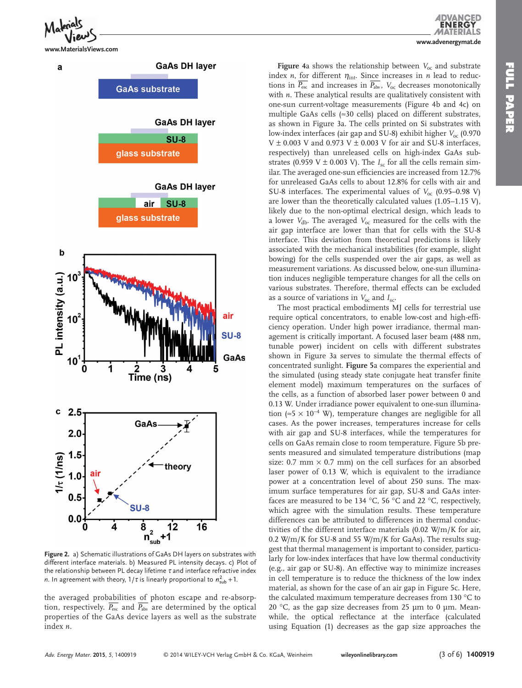

**www.MaterialsViews.com**



**Figure 2.** a) Schematic illustrations of GaAs DH layers on substrates with different interface materials. b) Measured PL intensity decays. c) Plot of the relationship between PL decay lifetime  $\tau$  and interface refractive index *n*. In agreement with theory,  $1/\tau$  is linearly proportional to  $n_{sub}^2 + 1$ .

the averaged probabilities of photon escape and re-absorption, respectively.  $\overline{P_{\text{esc}}}$  and  $\overline{P_{\text{abs}}}$  are determined by the optical properties of the GaAs device layers as well as the substrate index *n* .

**FULL PAPER** 

**FOLL AAPER** 

**Figure** 4a shows the relationship between  $V_{\text{oc}}$  and substrate index *n*, for different  $\eta_{int}$ . Since increases in *n* lead to reductions in  $\overline{P_{\text{esc}}}$  and increases in  $\overline{P_{\text{abs}}}$ ,  $V_{\text{oc}}$  decreases monotonically with *n*. These analytical results are qualitatively consistent with one-sun current-voltage measurements (Figure 4b and 4c) on multiple GaAs cells ( $\approx$ 30 cells) placed on different substrates, as shown in Figure 3a. The cells printed on Si substrates with low-index interfaces (air gap and SU-8) exhibit higher  $V_{\text{oc}}$  (0.970 V  $\pm$  0.003 V and 0.973 V  $\pm$  0.003 V for air and SU-8 interfaces, respectively) than unreleased cells on high-index GaAs substrates (0.959 V  $\pm$  0.003 V). The  $I_{\rm sc}$  for all the cells remain similar. The averaged one-sun efficiencies are increased from 12.7% for unreleased GaAs cells to about 12.8% for cells with air and SU-8 interfaces. The experimental values of  $V_{\text{oc}}$  (0.95–0.98 V) are lower than the theoretically calculated values (1.05–1.15 V), likely due to the non-optimal electrical design, which leads to a lower  $V_{\text{db}}$ . The averaged  $V_{\text{oc}}$  measured for the cells with the air gap interface are lower than that for cells with the SU-8 interface. This deviation from theoretical predictions is likely associated with the mechanical instabilities (for example, slight bowing) for the cells suspended over the air gaps, as well as measurement variations. As discussed below, one-sun illumination induces negligible temperature changes for all the cells on various substrates. Therefore, thermal effects can be excluded as a source of variations in  $V_{\text{oc}}$  and  $I_{\text{sc}}$ .

 The most practical embodiments MJ cells for terrestrial use require optical concentrators, to enable low-cost and high-efficiency operation. Under high power irradiance, thermal management is critically important. A focused laser beam (488 nm, tunable power) incident on cells with different substrates shown in Figure 3a serves to simulate the thermal effects of concentrated sunlight. **Figure 5** a compares the experiential and the simulated (using steady state conjugate heat transfer finite element model) maximum temperatures on the surfaces of the cells, as a function of absorbed laser power between 0 and 0.13 W. Under irradiance power equivalent to one-sun illumination (≈5 × 10<sup>-4</sup> W), temperature changes are negligible for all cases. As the power increases, temperatures increase for cells with air gap and SU-8 interfaces, while the temperatures for cells on GaAs remain close to room temperature. Figure 5b presents measured and simulated temperature distributions (map size: 0.7 mm  $\times$  0.7 mm) on the cell surfaces for an absorbed laser power of 0.13 W, which is equivalent to the irradiance power at a concentration level of about 250 suns. The maximum surface temperatures for air gap, SU-8 and GaAs interfaces are measured to be 134 °C, 56 °C and 22 °C, respectively, which agree with the simulation results. These temperature differences can be attributed to differences in thermal conductivities of the different interface materials (0.02 W/m/K for air, 0.2 W/m/K for SU-8 and 55 W/m/K for GaAs). The results suggest that thermal management is important to consider, particularly for low-index interfaces that have low thermal conductivity (e.g., air gap or SU-8). An effective way to minimize increases in cell temperature is to reduce the thickness of the low index material, as shown for the case of an air gap in Figure 5c. Here, the calculated maximum temperature decreases from 130 °C to 20  $\degree$ C, as the gap size decreases from 25 µm to 0 µm. Meanwhile, the optical reflectance at the interface (calculated using Equation (1) decreases as the gap size approaches the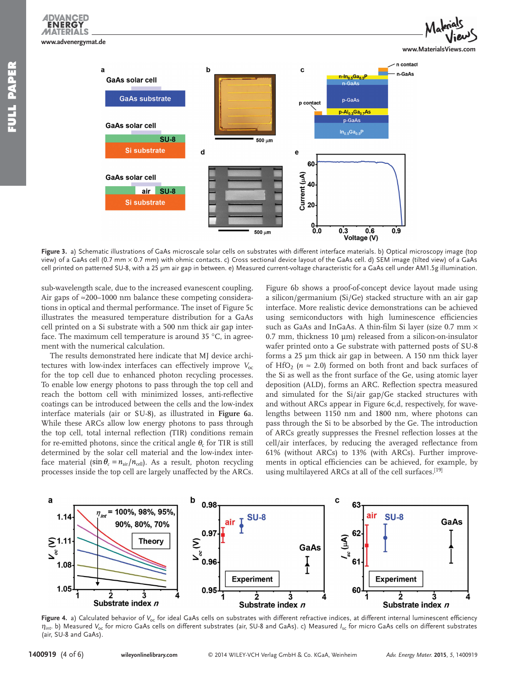**ENERG MATERIALS** 



**Figure 3.** a) Schematic illustrations of GaAs microscale solar cells on substrates with different interface materials. b) Optical microscopy image (top view) of a GaAs cell (0.7 mm × 0.7 mm) with ohmic contacts. c) Cross sectional device layout of the GaAs cell. d) SEM image (tilted view) of a GaAs cell printed on patterned SU-8, with a 25 µm air gap in between. e) Measured current-voltage characteristic for a GaAs cell under AM1.5g illumination.

sub-wavelength scale, due to the increased evanescent coupling. Air gaps of ≈200–1000 nm balance these competing considerations in optical and thermal performance. The inset of Figure 5c illustrates the measured temperature distribution for a GaAs cell printed on a Si substrate with a 500 nm thick air gap interface. The maximum cell temperature is around  $35^{\circ}$ C, in agreement with the numerical calculation.

 The results demonstrated here indicate that MJ device architectures with low-index interfaces can effectively improve V<sub>oc</sub> for the top cell due to enhanced photon recycling processes. To enable low energy photons to pass through the top cell and reach the bottom cell with minimized losses, anti-reflective coatings can be introduced between the cells and the low-index interface materials (air or SU-8), as illustrated in **Figure 6** a. While these ARCs allow low energy photons to pass through the top cell, total internal reflection (TIR) conditions remain for re-emitted photons, since the critical angle  $\theta_c$  for TIR is still determined by the solar cell material and the low-index interface material ( $\sin \theta_c = n_{air}/n_{cell}$ ). As a result, photon recycling processes inside the top cell are largely unaffected by the ARCs.

Figure 6b shows a proof-of-concept device layout made using a silicon/germanium (Si/Ge) stacked structure with an air gap interface. More realistic device demonstrations can be achieved using semiconductors with high luminescence efficiencies such as GaAs and InGaAs. A thin-film Si layer (size  $0.7$  mm  $\times$ 0.7 mm, thickness 10  $\mu$ m) released from a silicon-on-insulator wafer printed onto a Ge substrate with patterned posts of SU-8 forms a 25 µm thick air gap in between. A 150 nm thick layer of HfO<sub>2</sub> ( $n \approx 2.0$ ) formed on both front and back surfaces of the Si as well as the front surface of the Ge, using atomic layer deposition (ALD), forms an ARC. Reflection spectra measured and simulated for the Si/air gap/Ge stacked structures with and without ARCs appear in Figure 6c,d, respectively, for wavelengths between 1150 nm and 1800 nm, where photons can pass through the Si to be absorbed by the Ge. The introduction of ARCs greatly suppresses the Fresnel reflection losses at the cell/air interfaces, by reducing the averaged reflectance from 61% (without ARCs) to 13% (with ARCs). Further improvements in optical efficiencies can be achieved, for example, by using multilayered ARCs at all of the cell surfaces.<sup>[19]</sup>



Figure 4. a) Calculated behavior of V<sub>oc</sub> for ideal GaAs cells on substrates with different refractive indices, at different internal luminescent efficiency  $\eta_{\text{int}}$  b) Measured V<sub>oc</sub> for micro GaAs cells on different substrates (air, SU-8 and GaAs). c) Measured *I<sub>sc</sub>* for micro GaAs cells on different substrates (air, SU-8 and GaAs).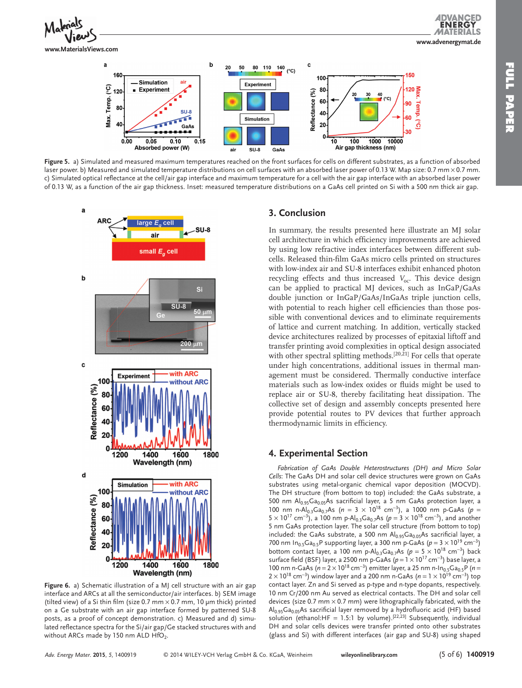

**ENERG 1ATERIALS www.advenergymat.de**





**Figure 5.** a) Simulated and measured maximum temperatures reached on the front surfaces for cells on different substrates, as a function of absorbed laser power. b) Measured and simulated temperature distributions on cell surfaces with an absorbed laser power of 0.13 W. Map size: 0.7 mm × 0.7 mm. c) Simulated optical reflectance at the cell/air gap interface and maximum temperature for a cell with the air gap interface with an absorbed laser power of 0.13 W, as a function of the air gap thickness. Inset: measured temperature distributions on a GaAs cell printed on Si with a 500 nm thick air gap.



**Figure 6.** a) Schematic illustration of a MJ cell structure with an air gap interface and ARCs at all the semiconductor/air interfaces. b) SEM image (tilted view) of a Si thin film (size 0.7 mm  $\times$  0.7 mm, 10 µm thick) printed on a Ge substrate with an air gap interface formed by patterned SU-8 posts, as a proof of concept demonstration. c) Measured and d) simulated reflectance spectra for the Si/air gap/Ge stacked structures with and without ARCs made by 150 nm ALD  $HfO<sub>2</sub>$ .

## **3. Conclusion**

 In summary, the results presented here illustrate an MJ solar cell architecture in which efficiency improvements are achieved by using low refractive index interfaces between different subcells. Released thin-film GaAs micro cells printed on structures with low-index air and SU-8 interfaces exhibit enhanced photon recycling effects and thus increased *V*<sub>oc</sub>. This device design can be applied to practical MJ devices, such as InGaP/GaAs double junction or InGaP/GaAs/InGaAs triple junction cells, with potential to reach higher cell efficiencies than those possible with conventional devices and to eliminate requirements of lattice and current matching. In addition, vertically stacked device architectures realized by processes of epitaxial liftoff and transfer printing avoid complexities in optical design associated with other spectral splitting methods.  $[20, \overline{2}1]$  For cells that operate under high concentrations, additional issues in thermal management must be considered. Thermally conductive interface materials such as low-index oxides or fluids might be used to replace air or SU-8, thereby facilitating heat dissipation. The collective set of design and assembly concepts presented here provide potential routes to PV devices that further approach thermodynamic limits in efficiency.

## **4. Experimental Section**

*Fabrication of GaAs Double Heterostructures (DH) and Micro Solar*  Cells: The GaAs DH and solar cell device structures were grown on GaAs substrates using metal-organic chemical vapor deposition (MOCVD). The DH structure (from bottom to top) included: the GaAs substrate, a 500 nm  $Al<sub>0.95</sub> Ga<sub>0.05</sub>As$  sacrificial layer, a 5 nm GaAs protection layer, a 100 nm n-Al<sub>0.3</sub>Ga<sub>0.7</sub>As (*n* = 3 × 10<sup>18</sup> cm<sup>-3</sup>), a 1000 nm p-GaAs (*p* = 5 × 10<sup>17</sup> cm<sup>-3</sup>), a 100 nm p-Al<sub>0.3</sub>Ga<sub>0.7</sub>As ( $p = 3 \times 10^{18}$  cm<sup>-3</sup>), and another 5 nm GaAs protection layer. The solar cell structure (from bottom to top) included: the GaAs substrate, a 500 nm  $\text{Al}_{0.95}\text{Ga}_{0.05}\text{As}$  sacrificial layer, a 700 nm In<sub>0.5</sub>Ga<sub>0.5</sub>P supporting layer, a 300 nm p-GaAs ( $p = 3 \times 10^{19}$  cm<sup>-3</sup>) bottom contact layer, a 100 nm p-Al<sub>0.3</sub>Ga<sub>0.7</sub>As ( $p = 5 \times 10^{18}$  cm<sup>-3</sup>) back surface field (BSF) layer, a 2500 nm p-GaAs ( $p = 1 \times 10^{17}$  cm<sup>-3</sup>) base layer, a 100 nm n-GaAs (n = 2 × 10<sup>18</sup> cm<sup>-3</sup>) emitter layer, a 25 nm n-In<sub>0.5</sub>Ga<sub>0.5</sub>P (n = 2 × 10<sup>18</sup> cm<sup>-3</sup>) window layer and a 200 nm n-GaAs (*n* = 1 × 10<sup>19</sup> cm<sup>-3</sup>) top contact layer. Zn and Si served as p-type and n-type dopants, respectively. 10 nm Cr/200 nm Au served as electrical contacts. The DH and solar cell devices (size 0.7 mm  $\times$  0.7 mm) were lithographically fabricated, with the  $Al<sub>0.95</sub> Ga<sub>0.05</sub> As as a critical layer removed by a hydrofluoric acid (HF) based$ solution (ethanol:HF = 1.5:1 by volume).<sup>[22,23]</sup> Subsequently, individual DH and solar cells devices were transfer printed onto other substrates (glass and Si) with different interfaces (air gap and SU-8) using shaped